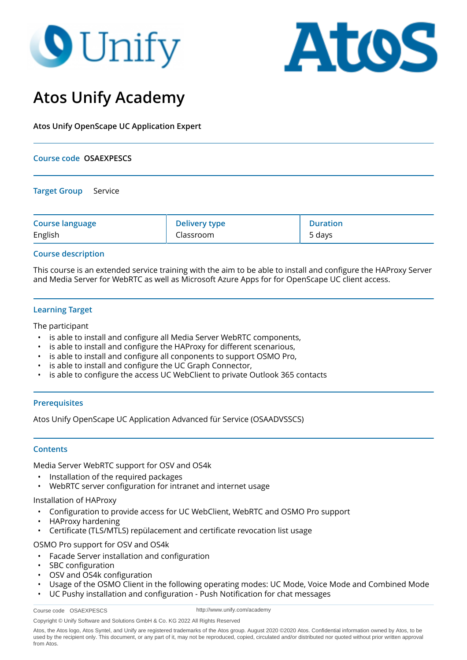# **9** Unify



### **Atos Unify Academy**

**Atos Unify OpenScape UC Application Expert**

## **Course code OSAEXPESCS Target Group** Service

| <b>Course language</b> | <b>Delivery type</b> | <b>Duration</b> |
|------------------------|----------------------|-----------------|
| English                | Classroom            | 5 days          |

#### **Course description**

This course is an extended service training with the aim to be able to install and configure the HAProxy Server and Media Server for WebRTC as well as Microsoft Azure Apps for for OpenScape UC client access.

#### **Learning Target**

The participant

- is able to install and configure all Media Server WebRTC components,
- is able to install and configure the HAProxy for different scenarious,
- is able to install and configure all conponents to support OSMO Pro,
- is able to install and configure the UC Graph Connector,
- is able to configure the access UC WebClient to private Outlook 365 contacts

#### **Prerequisites**

Atos Unify OpenScape UC Application Advanced für Service (OSAADVSSCS)

#### **Contents**

Media Server WebRTC support for OSV and OS4k

- Installation of the required packages
- WebRTC server configuration for intranet and internet usage

#### Installation of HAProxy

- Configuration to provide access for UC WebClient, WebRTC and OSMO Pro support
- HAProxy hardening
- Certificate (TLS/MTLS) repülacement and certificate revocation list usage

OSMO Pro support for OSV and OS4k

- Facade Server installation and configuration
- SBC configuration
- OSV and OS4k configuration
- Usage of the OSMO Client in the following operating modes: UC Mode, Voice Mode and Combined Mode
- UC Pushy installation and configuration Push Notification for chat messages

http://www.unify.com/academy

Copyright © Unify Software and Solutions GmbH & Co. KG 2022 All Rights Reserved

Atos, the Atos logo, Atos Syntel, and Unify are registered trademarks of the Atos group. August 2020 ©2020 Atos. Confidential information owned by Atos, to be used by the recipient only. This document, or any part of it, may not be reproduced, copied, circulated and/or distributed nor quoted without prior written approval from Atos.

Course code OSAEXPESCS